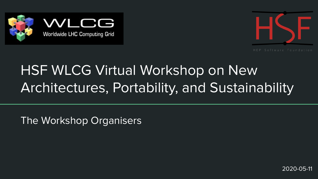



## HSF WLCG Virtual Workshop on New Architectures, Portability, and Sustainability

The Workshop Organisers

2020-05-11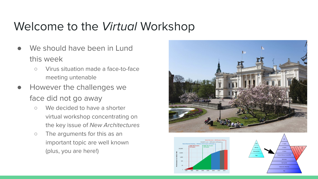## Welcome to the *Virtual* Workshop

- We should have been in Lund this week
	- Virus situation made a face-to-face meeting untenable
- However the challenges we face did not go away
	- We decided to have a shorter virtual workshop concentrating on the key issue of New Architectures
	- The arguments for this as an important topic are well known (plus, you are here!)





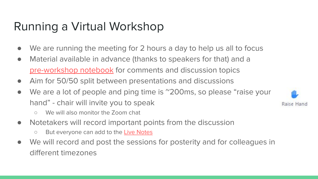## Running a Virtual Workshop

- We are running the meeting for 2 hours a day to help us all to focus
- Material available in advance (thanks to speakers for that) and a [pre-workshop notebook](https://docs.google.com/document/d/1W-xOHmqI-SI6LiSt9se0MAcRZQEWgFTNMG1-1sd-BEg/edit?usp=sharing) for comments and discussion topics
- Aim for 50/50 split between presentations and discussions
- We are a lot of people and ping time is ~200ms, so please "raise your hand" - chair will invite you to speak
	- We will also monitor the Zoom chat
- Notetakers will record important points from the discussion
	- But everyone can add to the **[Live Notes](https://docs.google.com/document/d/1LEl3-kcP51gSRK4HcsFynKZd9V39KNnc6xVhuw1T9a4/edit?usp=sharing)**
- We will record and post the sessions for posterity and for colleagues in different timezones